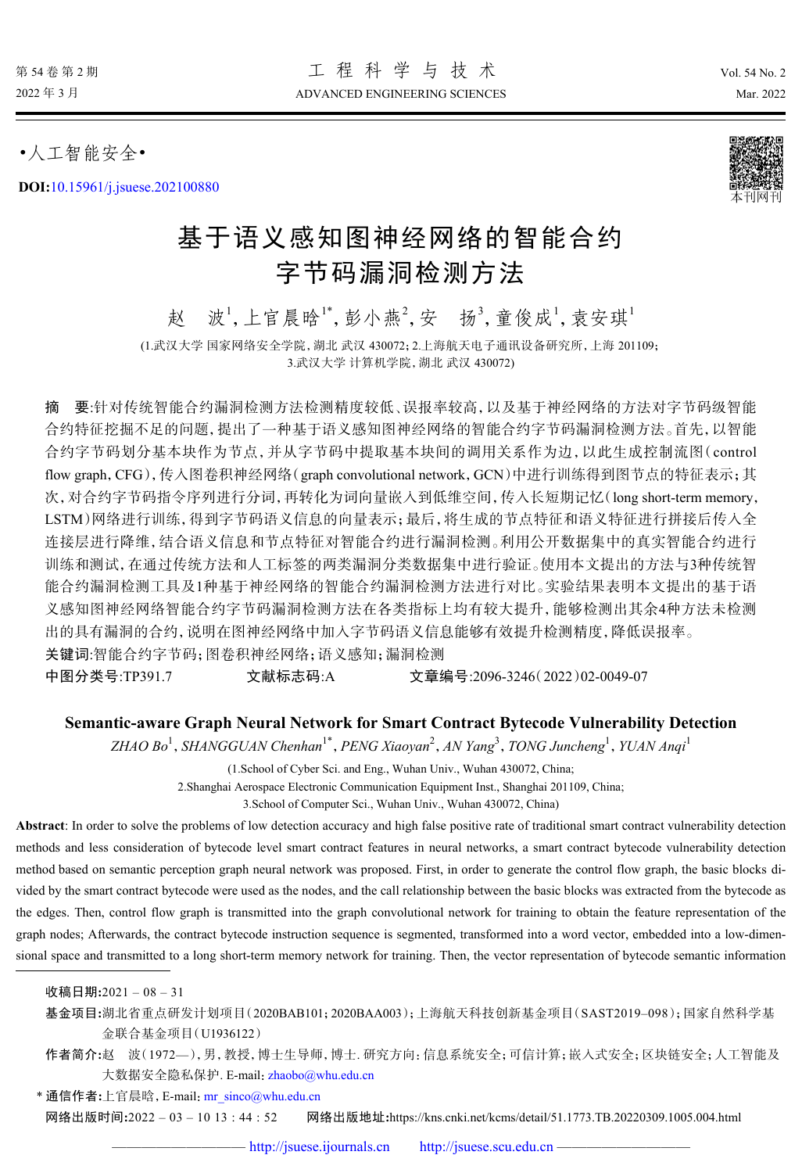•人工智能安全•

**DOI:**[10.15961/j.jsuese.202100880](http://dx.doi.org/10.15961/j.jsuese.202100880)



# 基于语义感知图神经网络的智能合约 字节码漏洞检测方法

赵 波<sup>1</sup>,上官晨晗1\*,彭小燕2,安 扬3,童俊成1,袁安琪1 (1.武汉大学 国家网络安全学院,湖北 武汉 430072;2.上海航天电子通讯设备研究所,上海 201109;

3.武汉大学 计算机学院,湖北 武汉 430072)

摘 要:针对传统智能合约漏洞检测方法检测精度较低、误报率较高,以及基于神经网络的方法对字节码级智能 合约特征挖掘不足的问题,提出了一种基于语义感知图神经网络的智能合约字节码漏洞检测方法。首先,以智能 合约字节码划分基本块作为节点,并从字节码中提取基本块间的调用关系作为边,以此生成控制流图(control flow graph,CFG),传入图卷积神经网络(graph convolutional network,GCN)中进行训练得到图节点的特征表示;其 次,对合约字节码指令序列进行分词,再转化为词向量嵌入到低维空间,传入长短期记忆(long short-term memory, LSTM)网络进行训练,得到字节码语义信息的向量表示;最后,将生成的节点特征和语义特征进行拼接后传入全 连接层进行降维,结合语义信息和节点特征对智能合约进行漏洞检测。利用公开数据集中的真实智能合约进行 训练和测试,在通过传统方法和人工标签的两类漏洞分类数据集中进行验证。使用本文提出的方法与3种传统智 能合约漏洞检测工具及1种基于神经网络的智能合约漏洞检测方法进行对比。实验结果表明本文提出的基于语 义感知图神经网络智能合约字节码漏洞检测方法在各类指标上均有较大提升,能够检测出其余4种方法未检测 出的具有漏洞的合约,说明在图神经网络中加入字节码语义信息能够有效提升检测精度,降低误报率。 关键词:智能合约字节码;图卷积神经网络;语义感知;漏洞检测

中图分类号:TP391.7 文献标志码:A 文章编号:2096-3246(2022)02-0049-07

## **Semantic-aware Graph Neural Network for Smart Contract Bytecode Vulnerability Detection**

*ZHAO Bo*<sup>1</sup> ,*SHANGGUAN Chenhan*1\* ,*PENG Xiaoyan*<sup>2</sup> ,*AN Yang*<sup>3</sup> ,*TONG Juncheng*<sup>1</sup> ,*YUAN Anqi*<sup>1</sup>

(1.School of Cyber Sci. and Eng., Wuhan Univ., Wuhan 430072, China;

2.Shanghai Aerospace Electronic Communication Equipment Inst., Shanghai 201109, China;

3.School of Computer Sci., Wuhan Univ., Wuhan 430072, China)

**Abstract**: In order to solve the problems of low detection accuracy and high false positive rate of traditional smart contract vulnerability detection methods and less consideration of bytecode level smart contract features in neural networks, a smart contract bytecode vulnerability detection method based on semantic perception graph neural network was proposed. First, in order to generate the control flow graph, the basic blocks divided by the smart contract bytecode were used as the nodes, and the call relationship between the basic blocks was extracted from the bytecode as the edges. Then, control flow graph is transmitted into the graph convolutional network for training to obtain the feature representation of the graph nodes; Afterwards, the contract bytecode instruction sequence is segmented, transformed into a word vector, embedded into a low-dimensional space and transmitted to a long short-term memory network for training. Then, the vector representation of bytecode semantic information

收稿日期**:**2021 – 08 – 31

基金项目**:**湖北省重点研发计划项目(2020BAB101;2020BAA003);上海航天科技创新基金项目(SAST2019–098);国家自然科学基 金联合基金项目(U1936122)

作者简介**:**赵 波(1972—),男,教授,博士生导师,博士. 研究方向:信息系统安全;可信计算;嵌入式安全;区块链安全;人工智能及 大数据安全隐私保护. E-mail: [zhaobo@whu.edu.cn](mailto:zhaobo@whu.edu.cn)

\* 通信作者**:**上官晨晗,E-mail:[mr\\_sinco@whu.edu.cn](mailto:mr_sinco@whu.edu.cn)

网络出版时间**:**2022 – 03 – 10 13 : 44 : 52 网络出版地址**:**https://kns.cnki.net/kcms/detail/51.1773.TB.20220309.1005.004.html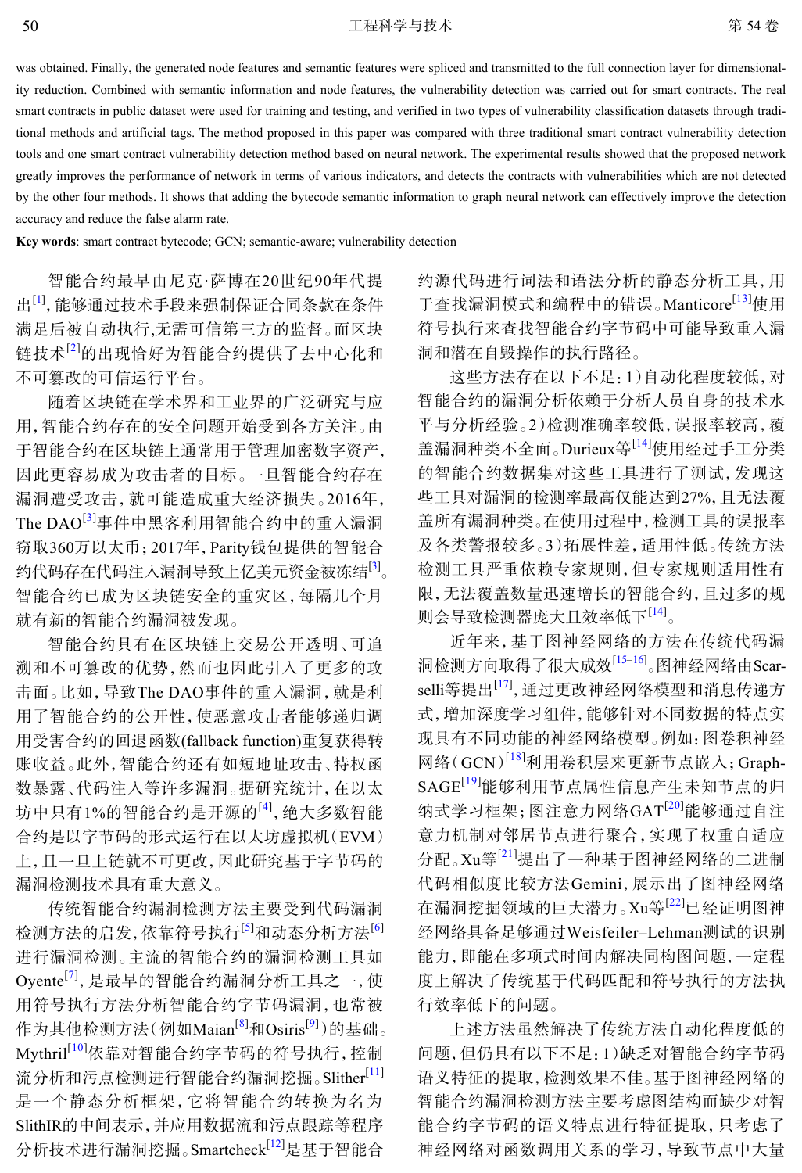was obtained. Finally, the generated node features and semantic features were spliced and transmitted to the full connection layer for dimensionality reduction. Combined with semantic information and node features, the vulnerability detection was carried out for smart contracts. The real smart contracts in public dataset were used for training and testing, and verified in two types of vulnerability classification datasets through traditional methods and artificial tags. The method proposed in this paper was compared with three traditional smart contract vulnerability detection tools and one smart contract vulnerability detection method based on neural network. The experimental results showed that the proposed network greatly improves the performance of network in terms of various indicators, and detects the contracts with vulnerabilities which are not detected by the other four methods. It shows that adding the bytecode semantic information to graph neural network can effectively improve the detection accuracy and reduce the false alarm rate.

**Key words**: smart contract bytecode; GCN; semantic-aware; vulnerability detection

智能合约最早由尼克·萨博在20世纪90年代提 出<sup>[[1](#page-5-0)]</sup>, 能够通过技术手段来强制保证合同条款在条件 满足后被自动执行,无需可信第三方的监督。而区块 链技术[[2\]](#page-5-1)的出现恰好为智能合约提供了去中心化和 不可篡改的可信运行平台。

随着区块链在学术界和工业界的广泛研究与应 用,智能合约存在的安全问题开始受到各方关注。由 于智能合约在区块链上通常用于管理加密数字资产, 因此更容易成为攻击者的目标。一旦智能合约存在 漏洞遭受攻击,就可能造成重大经济损失。2016年, The  $\text{DAO}^{[3]}$  $\text{DAO}^{[3]}$  $\text{DAO}^{[3]}$ 事件中黑客利用智能合约中的重入漏洞 窃取360万以太币;2017年,Parity钱包提供的智能合 约代码存在代码注入漏洞导致上亿美元资金被冻结<sup>[[3\]](#page-5-2)</sup>。 智能合约已成为区块链安全的重灾区,每隔几个月 就有新的智能合约漏洞被发现。

智能合约具有在区块链上交易公开透明、可追 溯和不可篡改的优势,然而也因此引入了更多的攻 击面。比如,导致The DAO事件的重入漏洞,就是利 用了智能合约的公开性,使恶意攻击者能够递归调 用受害合约的回退函数(fallback function)重复获得转 账收益。此外,智能合约还有如短地址攻击、特权函 数暴露、代码注入等许多漏洞。据研究统计,在以太 坊中只有1%的智能合约是开源的<sup>[\[4](#page-5-3)]</sup>,绝大多数智能 合约是以字节码的形式运行在以太坊虚拟机(EVM) 上,且一旦上链就不可更改,因此研究基于字节码的 漏洞检测技术具有重大意义。

传统智能合约漏洞检测方法主要受到代码漏洞 检测方法的启发,依靠符号执行<sup>[\[5\]](#page-5-4)</sup>和动态分析方法<sup>[\[6\]](#page-5-5)</sup> 进行漏洞检测。主流的智能合约的漏洞检测工具如 Oyente<sup>[[7](#page-5-6)]</sup>, 是最早的智能合约漏洞分析工具之一, 使 用符号执行方法分析智能合约字节码漏洞,也常被 作为其他检测方法(例如Maian<sup>[[8](#page-5-7)]</sup>和Osiris<sup>[[9](#page-5-8)]</sup>)的基础。 Mythril<sup>[[10](#page-6-0)]</sup>依靠对智能合约字节码的符号执行,控制 流分析和污点检测进行智能合约漏洞挖掘。Slither<sup>[[11\]](#page-6-1)</sup> 是一个静态分析框架,它将智能合约转换为名为 SlithIR的中间表示,并应用数据流和污点跟踪等程序 分析技术进行漏洞挖掘。Smartcheck<sup>[[12](#page-6-2)]</sup>是基于智能合

约源代码进行词法和语法分析的静态分析工具,用 于查找漏洞模式和编程中的错误。Manticore<sup>[[13](#page-6-3)]</sup>使用 符号执行来查找智能合约字节码中可能导致重入漏 洞和潜在自毁操作的执行路径。

这些方法存在以下不足:1)自动化程度较低,对 智能合约的漏洞分析依赖于分析人员自身的技术水 平与分析经验。2)检测准确率较低,误报率较高,覆 盖漏洞种类不全面。Durieux等<sup>[[14](#page-6-4)]</sup>使用经过手工分类 的智能合约数据集对这些工具进行了测试,发现这 些工具对漏洞的检测率最高仅能达到27%,且无法覆 盖所有漏洞种类。在使用过程中,检测工具的误报率 及各类警报较多。3)拓展性差,适用性低。传统方法 检测工具严重依赖专家规则,但专家规则适用性有 限,无法覆盖数量迅速增长的智能合约,且过多的规 则会导致检测器庞大且效率低下[[14\]](#page-6-4) 。

近年来,基于图神经网络的方法在传统代码漏 洞检测方向取得了很大成效<sup>[\[15](#page-6-5)–[16\]](#page-6-6)</sup>。图神经网络由Scar-selli等提出<sup>[\[17](#page-6-7)]</sup>, 通过更改神经网络模型和消息传递方 式,增加深度学习组件,能够针对不同数据的特点实 现具有不同功能的神经网络模型。例如:图卷积神经 网络(GCN) [[18](#page-6-8)]利用卷积层来更新节点嵌入;Graph-SAGE[[19](#page-6-9)]能够利用节点属性信息产生未知节点的归 纳式学习框架;图注意力网络GAT[[20](#page-6-10)]能够通过自注 意力机制对邻居节点进行聚合,实现了权重自适应 分配。Xu等[[21](#page-6-11)]提出了一种基于图神经网络的二进制 代码相似度比较方法Gemini,展示出了图神经网络 在漏洞挖掘领域的巨大潜力。Xu等[[22](#page-6-12)]已经证明图神 经网络具备足够通过Weisfeiler–Lehman测试的识别 能力,即能在多项式时间内解决同构图问题,一定程 度上解决了传统基于代码匹配和符号执行的方法执 行效率低下的问题。

上述方法虽然解决了传统方法自动化程度低的 问题,但仍具有以下不足:1)缺乏对智能合约字节码 语义特征的提取,检测效果不佳。基于图神经网络的 智能合约漏洞检测方法主要考虑图结构而缺少对智 能合约字节码的语义特点进行特征提取,只考虑了 神经网络对函数调用关系的学习,导致节点中大量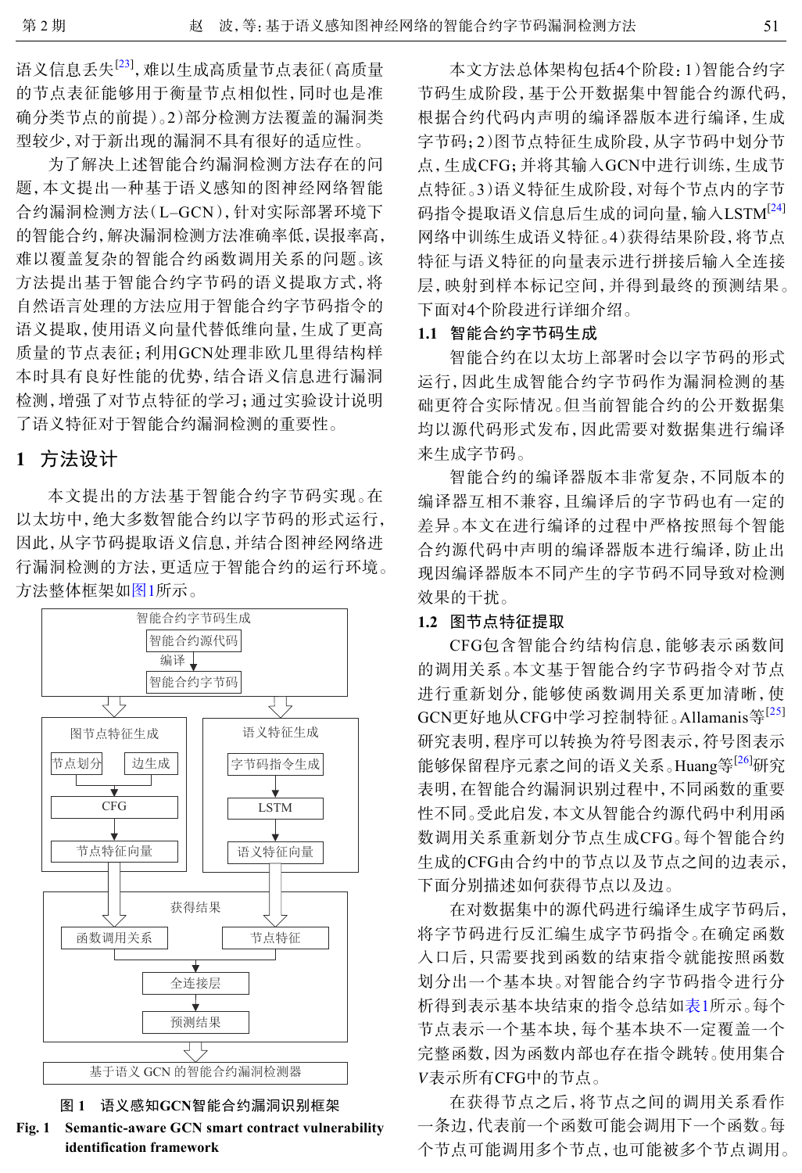语义信息丢失<sup>[\[23](#page-6-13)]</sup>,难以生成高质量节点表征(高质量 的节点表征能够用于衡量节点相似性,同时也是准 确分类节点的前提)。2)部分检测方法覆盖的漏洞类 型较少,对于新出现的漏洞不具有很好的适应性。

为了解决上述智能合约漏洞检测方法存在的问 题,本文提出一种基于语义感知的图神经网络智能 合约漏洞检测方法(L–GCN),针对实际部署环境下 的智能合约,解决漏洞检测方法准确率低,误报率高, 难以覆盖复杂的智能合约函数调用关系的问题。该 方法提出基于智能合约字节码的语义提取方式,将 自然语言处理的方法应用于智能合约字节码指令的 语义提取,使用语义向量代替低维向量,生成了更高 质量的节点表征;利用GCN处理非欧几里得结构样 本时具有良好性能的优势,结合语义信息进行漏洞 检测,增强了对节点特征的学习;通过实验设计说明 了语义特征对于智能合约漏洞检测的重要性。

## **1** 方法设计

本文提出的方法基于智能合约字节码实现。在 以太坊中,绝大多数智能合约以字节码的形式运行, 因此,从字节码提取语义信息,并结合图神经网络进 行漏洞检测的方法,更适应于智能合约的运行环境。 方法整体框架如[图](#page-2-0)[1](#page-2-0)所示。

<span id="page-2-0"></span>



**Fig. 1 Semantic-aware GCN smart contract vulnerability identification framework**

本文方法总体架构包括4个阶段:1)智能合约字 节码生成阶段,基于公开数据集中智能合约源代码, 根据合约代码内声明的编译器版本进行编译,生成 字节码;2)图节点特征生成阶段,从字节码中划分节 点,生成CFG;并将其输入GCN中进行训练,生成节 点特征。3)语义特征生成阶段,对每个节点内的字节 码指令提取语义信息后生成的词向量,输入LSTM<sup>[\[24](#page-6-14)]</sup> 网络中训练生成语义特征。4)获得结果阶段,将节点 特征与语义特征的向量表示进行拼接后输入全连接 层,映射到样本标记空间,并得到最终的预测结果。 下面对4个阶段进行详细介绍。

#### **1.1** 智能合约字节码生成

智能合约在以太坊上部署时会以字节码的形式 运行,因此生成智能合约字节码作为漏洞检测的基 础更符合实际情况。但当前智能合约的公开数据集 均以源代码形式发布,因此需要对数据集进行编译 来生成字节码。

智能合约的编译器版本非常复杂,不同版本的 编译器互相不兼容,且编译后的字节码也有一定的 差异。本文在进行编译的过程中严格按照每个智能 合约源代码中声明的编译器版本进行编译,防止出 现因编译器版本不同产生的字节码不同导致对检测 效果的干扰。

#### **1.2** 图节点特征提取

CFG包含智能合约结构信息,能够表示函数间 的调用关系。本文基于智能合约字节码指令对节点 进行重新划分,能够使函数调用关系更加清晰,使 GCN更好地从CFG中学习控制特征。Allamanis等<sup>[[25](#page-6-15)]</sup> 研究表明,程序可以转换为符号图表示,符号图表示 能够保留程序元素之间的语义关系。Huang等<sup>[[26\]](#page-6-16)</sup>研究 表明,在智能合约漏洞识别过程中,不同函数的重要 性不同。受此启发,本文从智能合约源代码中利用函 数调用关系重新划分节点生成CFG。每个智能合约 生成的CFG由合约中的节点以及节点之间的边表示, 下面分别描述如何获得节点以及边。

*V* 表示所有CFG中的节点。 在对数据集中的源代码进行编译生成字节码后, 将字节码进行反汇编生成字节码指令。在确定函数 入口后,只需要找到函数的结束指令就能按照函数 划分出一个基本块。对智能合约字节码指令进行分 析得到表示基本块结束的指令总结如表1所示。每个 节点表示一个基本块,每个基本块不一定覆盖一个 完整函数,因为函数内部也存在指令跳转。使用集合

在获得节点之后,将节点之间的调用关系看作 一条边,代表前一个函数可能会调用下一个函数。每 个节点可能调用多个节点,也可能被多个节点调用。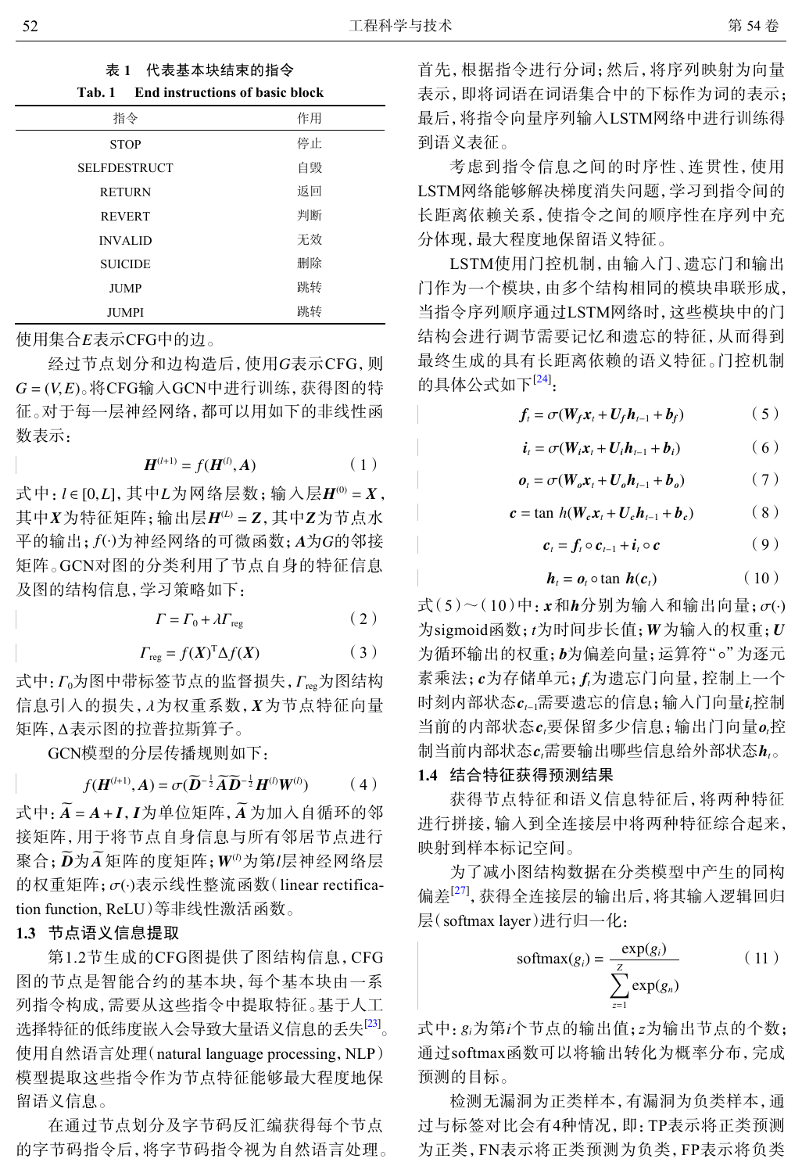| 代表基本块结束的指令 |
|------------|
|            |

| Tab. 1 End instructions of basic block |    |
|----------------------------------------|----|
| 指令                                     | 作用 |
| <b>STOP</b>                            | 停止 |
| <b>SELFDESTRUCT</b>                    | 自毁 |
| <b>RETURN</b>                          | 返回 |
| <b>REVERT</b>                          | 判断 |
| <b>INVALID</b>                         | 无效 |
| <b>SUICIDE</b>                         | 删除 |
| <b>JUMP</b>                            | 跳转 |
| <b>JUMPI</b>                           | 跳转 |

使用集合 *E* 表示CFG中的边。

经过节点划分和边构造后,使用G表示CFG,则 *G* = (*V*,*E*) 。将CFG输入GCN中进行训练,获得图的特 征。对于每一层神经网络,都可以用如下的非线性函 数表示:

$$
H^{(l+1)} = f(H^{(l)}, A)
$$
 (1)

式中: *l* ∈ [0,*L*], 其中*L*为网络层数; 输入层*H*<sup>(0)</sup> = *X*, 其中 *X* 为特征矩阵; 输出层 *H<sup>(L)</sup> = Z* , 其中 Z 为节点水 平的输出;  $f(\cdot)$ 为神经网络的可微函数;  $A$ 为 $G$ 的邻接 矩阵。GCN对图的分类利用了节点自身的特征信息 及图的结构信息,学习策略如下:

$$
\Gamma = \Gamma_0 + \lambda \Gamma_{\text{reg}} \tag{2}
$$

$$
\Gamma_{\text{reg}} = f(X)^{\text{T}} \Delta f(X) \tag{3}
$$

式中:  $\varGamma_0$ 为图中带标签节点的监督损失,  $\varGamma_{\text{reg}}$ 为图结构 信息引入的损失, *λ*为权重系数, *X*为节点特征向量 ∆ 矩阵, 表示图的拉普拉斯算子。

GCN模型的分层传播规则如下:

$$
f(\boldsymbol{H}^{(l+1)},\boldsymbol{A})=\sigma(\widetilde{\boldsymbol{D}}^{-\frac{1}{2}}\widetilde{\boldsymbol{A}}\widetilde{\boldsymbol{D}}^{-\frac{1}{2}}\boldsymbol{H}^{(l)}\boldsymbol{W}^{(l)})
$$
(4)

式中: A = A + *I* , *I* 为单位矩阵, A 为加入自循环的邻 聚合; *D为A* 矩阵的度矩阵; W<sup>(1)</sup>为第 /层神经网络层 的权重矩阵;  $\sigma$ (·)表示线性整流函数(linear rectifica-接矩阵,用于将节点自身信息与所有邻居节点进行 tion function, ReLU)等非线性激活函数。

## **1.3** 节点语义信息提取

第1.2节生成的CFG图提供了图结构信息,CFG 图的节点是智能合约的基本块,每个基本块由一系 列指令构成,需要从这些指令中提取特征。基于人工 选择特征的低纬度嵌入会导致大量语义信息的丢失<sup>[\[23](#page-6-13)]</sup>。 使用自然语言处理(natural language processing,NLP) 模型提取这些指令作为节点特征能够最大程度地保 留语义信息。

在通过节点划分及字节码反汇编获得每个节点 的字节码指令后,将字节码指令视为自然语言处理。

首先,根据指令进行分词;然后,将序列映射为向量 表示,即将词语在词语集合中的下标作为词的表示; 最后,将指令向量序列输入LSTM网络中进行训练得 到语义表征。

考虑到指令信息之间的时序性、连贯性,使用 LSTM网络能够解决梯度消失问题,学习到指令间的 长距离依赖关系,使指令之间的顺序性在序列中充 分体现,最大程度地保留语义特征。

LSTM使用门控机制,由输入门、遗忘门和输出 门作为一个模块,由多个结构相同的模块串联形成, 当指令序列顺序通过LSTM网络时,这些模块中的门 结构会进行调节需要记忆和遗忘的特征,从而得到 最终生成的具有长距离依赖的语义特征。门控机制 的具体公式如下<sup>[[24](#page-6-14)]</sup>:

$$
f_t = \sigma(W_f x_t + U_f h_{t-1} + b_f)
$$
 (5)

$$
\boldsymbol{i}_{t} = \sigma(\boldsymbol{W}_{i}\boldsymbol{x}_{t} + \boldsymbol{U}_{i}\boldsymbol{h}_{t-1} + \boldsymbol{b}_{i})
$$
 (6)

$$
\boldsymbol{o}_t = \sigma(\boldsymbol{W}_o \boldsymbol{x}_t + \boldsymbol{U}_o \boldsymbol{h}_{t-1} + \boldsymbol{b}_o) \tag{7}
$$

$$
c = \tan h(W_c x_t + U_c h_{t-1} + b_c) \tag{8}
$$

$$
\boldsymbol{c}_t = \boldsymbol{f}_t \circ \boldsymbol{c}_{t-1} + \boldsymbol{i}_t \circ \boldsymbol{c} \tag{9}
$$

$$
\boldsymbol{h}_t = \boldsymbol{o}_t \circ \tan \boldsymbol{h}(\boldsymbol{c}_t) \tag{10}
$$

 $\exists \vec{x}$ (5)~(10)中:  $\boldsymbol{x}$ 和 $\boldsymbol{h}$ 分别为输入和输出向量; $\sigma$ (·)  $\lambda$ sigmoid函数;  $t$ 为时间步长值; W为输入的权重;  $U$ 为循环输出的权重; b为偏差向量; 运算符"。"为逐元 素乘法; c为存储单元; *f*,为遗忘门向量, 控制上一个 时刻内部状态 $c_{t-1}$ 需要遗忘的信息;输入门向量 $i$ 控制 当前的内部状态 c,要保留多少信息; 输出门向量 o,控 制当前内部状态 $c_t$ 需要输出哪些信息给外部状态 $\bm{h}_t$ 。

#### **1.4** 结合特征获得预测结果

获得节点特征和语义信息特征后,将两种特征 进行拼接,输入到全连接层中将两种特征综合起来, 映射到样本标记空间。

为了减小图结构数据在分类模型中产生的同构 偏差<sup>[\[27](#page-6-17)]</sup>,获得全连接层的输出后,将其输入逻辑回归 层(softmax layer)进行归一化:

$$
softmax(g_i) = \frac{\exp(g_i)}{\sum_{z=1}^{Z} \exp(g_n)}
$$
 (11)

式中: *gi*为第*i*个节点的输出值;*z*为输出节点的个数; 通过softmax函数可以将输出转化为概率分布,完成 预测的目标。

检测无漏洞为正类样本,有漏洞为负类样本,通 过与标签对比会有4种情况,即:TP表示将正类预测 为正类,FN表示将正类预测为负类,FP表示将负类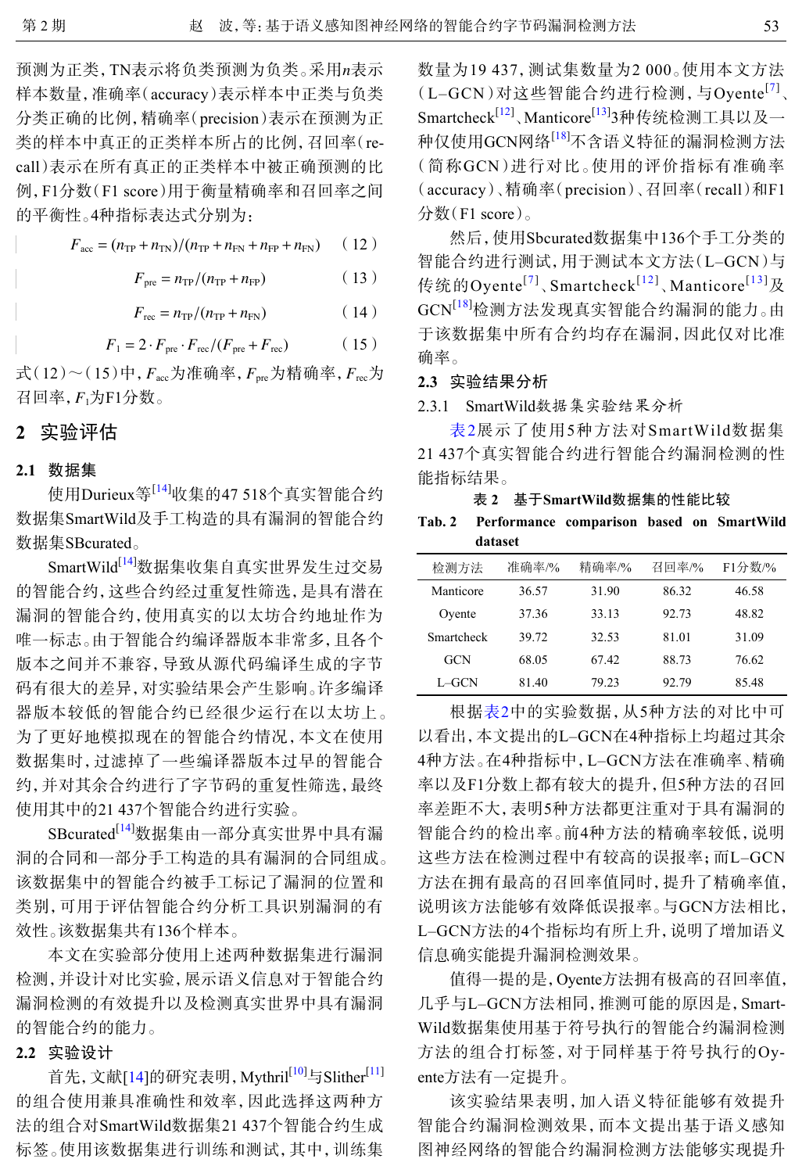预测为正类,TN表示将负类预测为负类。采用*n*表示 样本数量,准确率(accuracy)表示样本中正类与负类 分类正确的比例,精确率(precision)表示在预测为正 类的样本中真正的正类样本所占的比例,召回率(recall)表示在所有真正的正类样本中被正确预测的比 例,F1分数(F1 score)用于衡量精确率和召回率之间 的平衡性。4种指标表达式分别为:

$$
F_{\text{acc}} = (n_{\text{TP}} + n_{\text{TN}})/(n_{\text{TP}} + n_{\text{FN}} + n_{\text{FP}} + n_{\text{FN}}) \qquad (12)
$$

$$
F_{\text{pre}} = n_{\text{TP}}/(n_{\text{TP}} + n_{\text{FP}}) \tag{13}
$$

$$
F_{\rm rec} = n_{\rm TP}/(n_{\rm TP} + n_{\rm FN})\tag{14}
$$

$$
F_1 = 2 \cdot F_{\text{pre}} \cdot F_{\text{rec}} / (F_{\text{pre}} + F_{\text{rec}}) \tag{15}
$$

式 $(12)$ ~ $(15)$ 中,  $F_{\rm acc}$ 为准确率,  $F_{\rm pre}$ 为精确率,  $F_{\rm rec}$ 为 召回率, F<sub>1</sub>为F1分数。

## **2** 实验评估

#### **2.1** 数据集

使用Durieux等[[14\]](#page-6-4)收集的47 518个真实智能合约 数据集SmartWild及手工构造的具有漏洞的智能合约 数据集SBcurated。

SmartWild<sup>[\[14](#page-6-4)]</sup>数据集收集自真实世界发生过交易 的智能合约,这些合约经过重复性筛选,是具有潜在 漏洞的智能合约,使用真实的以太坊合约地址作为 唯一标志。由于智能合约编译器版本非常多,且各个 版本之间并不兼容,导致从源代码编译生成的字节 码有很大的差异,对实验结果会产生影响。许多编译 器版本较低的智能合约已经很少运行在以太坊上。 为了更好地模拟现在的智能合约情况,本文在使用 数据集时,过滤掉了一些编译器版本过早的智能合 约,并对其余合约进行了字节码的重复性筛选,最终 使用其中的21 437个智能合约进行实验。

SBcurated[[14](#page-6-4)]数据集由一部分真实世界中具有漏 洞的合同和一部分手工构造的具有漏洞的合同组成。 该数据集中的智能合约被手工标记了漏洞的位置和 类别,可用于评估智能合约分析工具识别漏洞的有 效性。该数据集共有136个样本。

本文在实验部分使用上述两种数据集进行漏洞 检测,并设计对比实验,展示语义信息对于智能合约 漏洞检测的有效提升以及检测真实世界中具有漏洞 的智能合约的能力。

#### **2.2** 实验设计

首先,文献[\[14](#page-6-4)]的研究表明, Mythril<sup>[[10\]](#page-6-0)</sup>与Slither<sup>[\[11](#page-6-1)]</sup> 的组合使用兼具准确性和效率,因此选择这两种方 法的组合对SmartWild数据集21 437个智能合约生成 标签。使用该数据集进行训练和测试,其中,训练集 数量为19 437,测试集数量为2 000。使用本文方法 (L-GCN)对这些智能合约进行检测,与Oyente<sup>[[7](#page-5-6)]</sup>、 Smartcheck<sup>[\[12](#page-6-2)]</sup>、Manticore<sup>[[13\]](#page-6-3)</sup>3种传统检测工具以及一 种仅使用GCN网络[\[18](#page-6-8)]不含语义特征的漏洞检测方法 (简称GCN)进行对比。使用的评价指标有准确率 (accuracy)、精确率(precision)、召回率(recall)和F1 分数(F1 score)。

然后,使用Sbcurated数据集中136个手工分类的 智能合约进行测试,用于测试本文方法(L–GCN)与 传统的Oyente<sup>[[7](#page-5-6)]</sup>、Smartcheck<sup>[[12](#page-6-2)]</sup>、Manticore<sup>[[13](#page-6-3)]</sup>及 GCN<sup>[[18](#page-6-8)]</sup>检测方法发现真实智能合约漏洞的能力。由 于该数据集中所有合约均存在漏洞,因此仅对比准 确率。

## **2.3** 实验结果分析

2.3.1 SmartWild数据集实验结果分析

表2展示了使用5种方法对SmartWild数据集 21 437个真实智能合约进行智能合约漏洞检测的性 能指标结果。

#### **Tab. 2 Performance comparison based on SmartWild dataset**

| 检测方法       | 准确率/% | 精确率/% | 召回率/% | F1分数/% |
|------------|-------|-------|-------|--------|
| Manticore  | 36.57 | 31.90 | 86.32 | 46.58  |
| Ovente     | 37.36 | 33.13 | 92.73 | 48.82  |
| Smartcheck | 39.72 | 32.53 | 81.01 | 31.09  |
| <b>GCN</b> | 68.05 | 67.42 | 88.73 | 76.62  |
| L-GCN      | 81.40 | 79 23 | 92.79 | 85.48  |

根据表2中的实验数据,从5种方法的对比中可 以看出,本文提出的L–GCN在4种指标上均超过其余 4种方法。在4种指标中,L–GCN方法在准确率、精确 率以及F1分数上都有较大的提升,但5种方法的召回 率差距不大,表明5种方法都更注重对于具有漏洞的 智能合约的检出率。前4种方法的精确率较低,说明 这些方法在检测过程中有较高的误报率;而L–GCN 方法在拥有最高的召回率值同时,提升了精确率值, 说明该方法能够有效降低误报率。与GCN方法相比, L–GCN方法的4个指标均有所上升,说明了增加语义 信息确实能提升漏洞检测效果。

值得一提的是,Oyente方法拥有极高的召回率值, 几乎与L–GCN方法相同,推测可能的原因是,Smart-Wild数据集使用基于符号执行的智能合约漏洞检测 方法的组合打标签,对于同样基于符号执行的Oyente方法有一定提升。

该实验结果表明,加入语义特征能够有效提升 智能合约漏洞检测效果,而本文提出基于语义感知 图神经网络的智能合约漏洞检测方法能够实现提升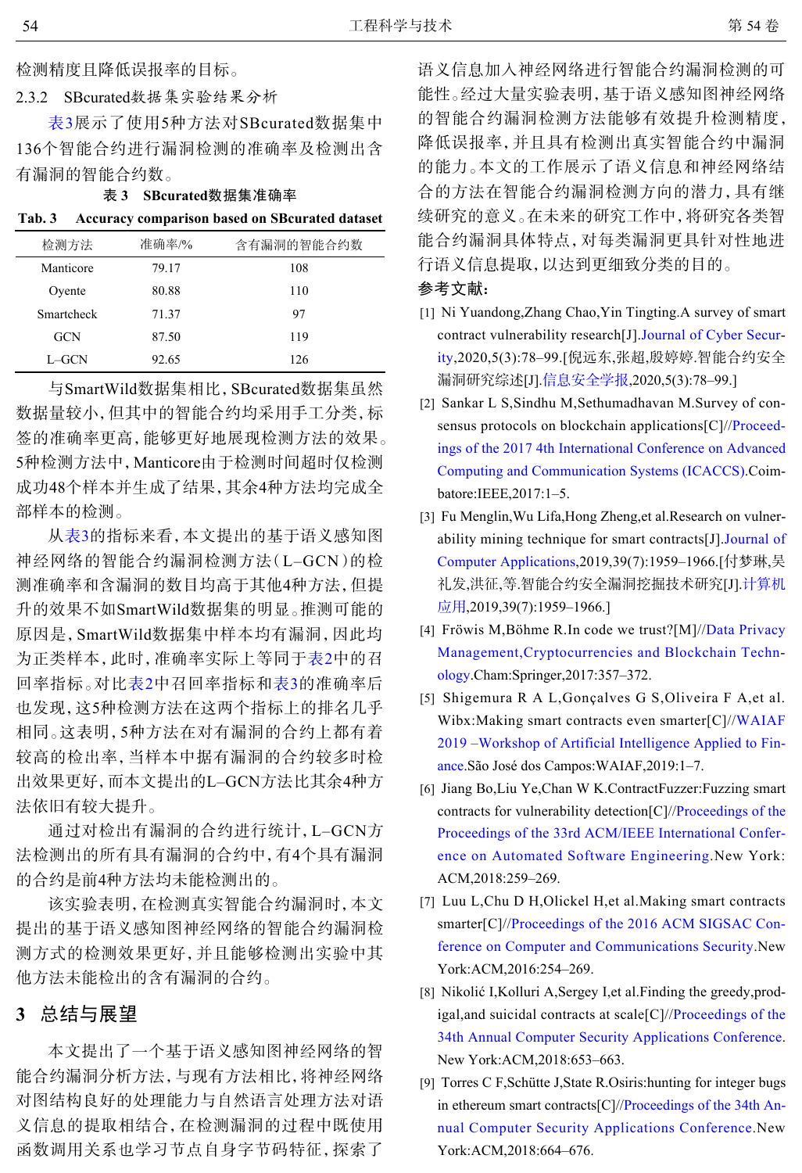检测精度且降低误报率的目标。

2.3.2 SBcurated数据集实验结果分析

表3展示了使用5种方法对SBcurated数据集中 136个智能合约进行漏洞检测的准确率及检测出含 有漏洞的智能合约数。

表 **3 SBcurated**数据集准确率

|  |  |  |  | Tab. 3 Accuracy comparison based on SBcurated dataset |  |
|--|--|--|--|-------------------------------------------------------|--|
|--|--|--|--|-------------------------------------------------------|--|

| 检测方法       | 准确率/% | 含有漏洞的智能合约数 |
|------------|-------|------------|
| Manticore  | 79.17 | 108        |
| Oyente     | 80.88 | 110        |
| Smartcheck | 71.37 | 97         |
| <b>GCN</b> | 87.50 | 119        |
| L-GCN      | 92.65 | 126        |

与SmartWild数据集相比,SBcurated数据集虽然 数据量较小,但其中的智能合约均采用手工分类,标 签的准确率更高,能够更好地展现检测方法的效果。 5种检测方法中,Manticore由于检测时间超时仅检测 成功48个样本并生成了结果,其余4种方法均完成全 部样本的检测。

从表3的指标来看,本文提出的基于语义感知图 神经网络的智能合约漏洞检测方法(L–GCN)的检 测准确率和含漏洞的数目均高于其他4种方法,但提 升的效果不如SmartWild数据集的明显。推测可能的 原因是,SmartWild数据集中样本均有漏洞,因此均 为正类样本,此时,准确率实际上等同于表2中的召 回率指标。对比表2中召回率指标和表3的准确率后 也发现,这5种检测方法在这两个指标上的排名几乎 相同。这表明,5种方法在对有漏洞的合约上都有着 较高的检出率,当样本中据有漏洞的合约较多时检 出效果更好,而本文提出的L–GCN方法比其余4种方 法依旧有较大提升。

通过对检出有漏洞的合约进行统计,L–GCN方 法检测出的所有具有漏洞的合约中,有4个具有漏洞 的合约是前4种方法均未能检测出的。

该实验表明,在检测真实智能合约漏洞时,本文 提出的基于语义感知图神经网络的智能合约漏洞检 测方式的检测效果更好,并且能够检测出实验中其 他方法未能检出的含有漏洞的合约。

## **3** 总结与展望

本文提出了一个基于语义感知图神经网络的智 能合约漏洞分析方法,与现有方法相比,将神经网络 对图结构良好的处理能力与自然语言处理方法对语 义信息的提取相结合,在检测漏洞的过程中既使用 函数调用关系也学习节点自身字节码特征,探索了

语义信息加入神经网络进行智能合约漏洞检测的可 能性。经过大量实验表明,基于语义感知图神经网络 的智能合约漏洞检测方法能够有效提升检测精度, 降低误报率,并且具有检测出真实智能合约中漏洞 的能力。本文的工作展示了语义信息和神经网络结 合的方法在智能合约漏洞检测方向的潜力,具有继 续研究的意义。在未来的研究工作中,将研究各类智 能合约漏洞具体特点,对每类漏洞更具针对性地进 行语义信息提取,以达到更细致分类的目的。

### 参考文献:

- <span id="page-5-0"></span>[1] Ni Yuandong, Zhang Chao, Yin Tingting. A survey of smart contract vulnerability research[J][.Journal of Cyber Secur](https://doi.org/10.19363/J.cnki.cn10-1380/tn.2020.05.07)[ity,](https://doi.org/10.19363/J.cnki.cn10-1380/tn.2020.05.07)2020,5(3):78–99.[倪远东,张超,殷婷婷.智能合约安全 漏洞研究综述[J].[信息安全学报](https://doi.org/10.19363/J.cnki.cn10-1380/tn.2020.05.07),2020,5(3):78-99.]
- <span id="page-5-1"></span>[2] Sankar L S, Sindhu M, Sethumadhavan M. Survey of con-sensus protocols on blockchain applications[C]//[Proceed](http://dx.doi.org/10.1109/ICACCS.2017.8014672 )[ings of the 2017 4th International Conference on Advanced](http://dx.doi.org/10.1109/ICACCS.2017.8014672 ) [Computing and Communication Systems \(ICACCS\)](http://dx.doi.org/10.1109/ICACCS.2017.8014672 ).Coimbatore:IEEE,2017:1–5.
- <span id="page-5-2"></span>[3] Fu Menglin, Wu Lifa, Hong Zheng, et al. Research on vulnerability mining technique for smart contracts[J][.Journal of](https://doi.org/10.11772/j.issn.1001-9081.2019010082) [Computer Applications](https://doi.org/10.11772/j.issn.1001-9081.2019010082),2019,39(7):1959–1966.[付梦琳,吴 礼发,洪征,等.智能合约安全漏洞挖掘技术研究[J].[计算机](https://doi.org/10.11772/j.issn.1001-9081.2019010082) [应用](https://doi.org/10.11772/j.issn.1001-9081.2019010082),2019,39(7):1959–1966.]
- <span id="page-5-3"></span>[4] Fröwis M, Böhme R. In code we trust?[M]//[Data Privacy](https://doi.org/10.1007/978-3-319-67816-0_20 ) [Management,Cryptocurrencies and Blockchain Techn](https://doi.org/10.1007/978-3-319-67816-0_20 )[ology](https://doi.org/10.1007/978-3-319-67816-0_20 ).Cham:Springer,2017:357–372.
- <span id="page-5-4"></span>[5] Shigemura R A L, Gonçalves G S, Oliveira F A, et al. [Wibx:Making smart contracts even smarter\[C\]//WAIAF](https://www.researchgate.net/publication/336474550_Wibx_Making_Smart_Contracts_Even_Smarter.) [2019 –Workshop of Artificial Intelligence Applied to Fin](https://www.researchgate.net/publication/336474550_Wibx_Making_Smart_Contracts_Even_Smarter.)[ance](https://www.researchgate.net/publication/336474550_Wibx_Making_Smart_Contracts_Even_Smarter.).São José dos Campos:WAIAF,2019:1–7.
- <span id="page-5-5"></span>[6] Jiang Bo,Liu Ye,Chan W K.ContractFu[zzer:Fuzzing smart](https://doi.org/10.1145/3238147.3238177) [contracts for vulnerability detection\[C\]//Proceedings of the](https://doi.org/10.1145/3238147.3238177) [Proceedings of the 33rd ACM/IEEE International Confer](https://doi.org/10.1145/3238147.3238177)[ence on Automated Software Engineering](https://doi.org/10.1145/3238147.3238177).New York: ACM,2018:259–269.
- <span id="page-5-6"></span>[7] Luu L,Chu [D H,Olickel H,et al.Making smart contracts](<linebreak_en/>) [smarter\[C\]//Proceedings of the 2016 ACM SIGSAC Con](<linebreak_en/>)[ference on Computer and Communications Security](<linebreak_en/>).New York:ACM,2016:254–269.
- <span id="page-5-7"></span>[8] Nikolić I, Kolluri A, Sergey I, et al. Finding the greedy, prod[igal,and suicidal contracts at scale\[C\]//Proceedings of the](https://doi.org/10.1145/3274694.3274743) [34th Annual Computer Security Applications Conference](https://doi.org/10.1145/3274694.3274743). New York:ACM,2018:653–663.
- <span id="page-5-8"></span>Torres C F,Schütte J,State R.O[siris:hunting for integer bugs](https://doi.org/10.1145/3274694.3274737) [9] [in ethereum smart contracts\[C\]//Proceedings of the 34th An](https://doi.org/10.1145/3274694.3274737)[nual Computer Security Applications Conference](https://doi.org/10.1145/3274694.3274737).New York:ACM,2018:664–676.